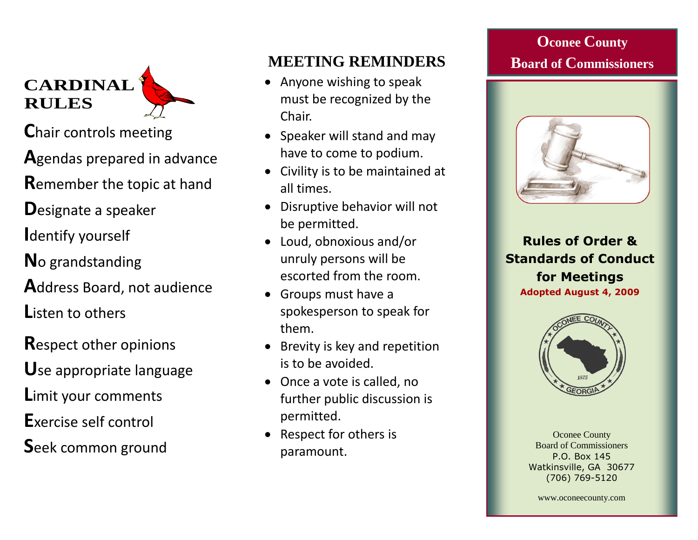**CARDINAL RULES** 

**C**hair controls meeting

**A**gendas prepared in advance

**R**emember the topic at hand

**D**esignate a speaker

**I**dentify yourself

**N**o grandstanding

**A**ddress Board, not audience

**L**isten to others

**R**espect other opinions

**U**se appropriate language

**L**imit your comments

**E**xercise self control

**S**eek common ground

# **MEETING REMINDERS**

- Anyone wishing to speak must be recognized by the Chair.
- Speaker will stand and may have to come to podium.
- Civility is to be maintained at all times.
- Disruptive behavior will not be permitted.
- Loud, obnoxious and/or unruly persons will be escorted from the room.
- Groups must have a spokesperson to speak for them.
- Brevity is key and repetition is to be avoided.
- Once a vote is called, no further public discussion is permitted.
- Respect for others is paramount.

# **Oconee County Board of Commissioners**



**Rules of Order & Standards of Conduct for Meetings Adopted August 4, 2009**



Oconee County Board of Commissioners P.O. Box 145 Watkinsville, GA 30677 (706) 769-5120

www.oconeecounty.com